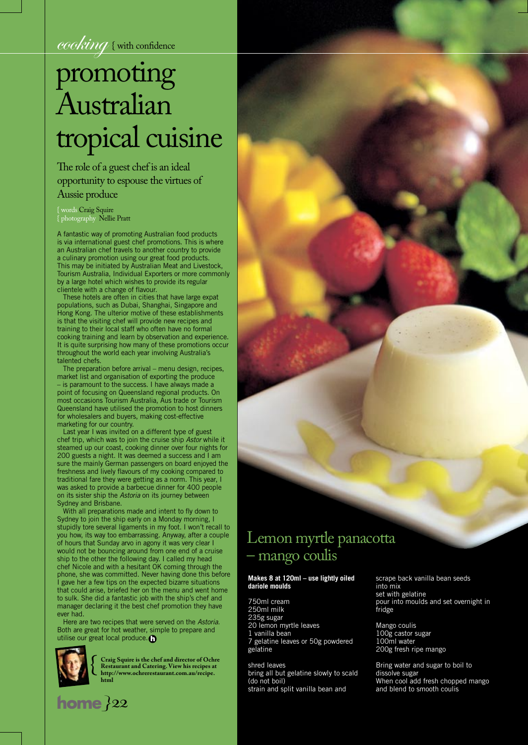cooking { with confidence

# promoting Australian tropical cuisine

The role of a guest chef is an ideal opportunity to espouse the virtues of Aussie produce

{ words Craig Squire { photography Nellie Pratt

A fantastic way of promoting Australian food products is via international guest chef promotions. This is where an Australian chef travels to another country to provide a culinary promotion using our great food products. This may be initiated by Australian Meat and Livestock, Tourism Australia, Individual Exporters or more commonly by a large hotel which wishes to provide its regular clientele with a change of flavour.

These hotels are often in cities that have large expat populations, such as Dubai, Shanghai, Singapore and Hong Kong. The ulterior motive of these establishments is that the visiting chef will provide new recipes and training to their local staff who often have no formal cooking training and learn by observation and experience. It is quite surprising how many of these promotions occur throughout the world each year involving Australia's talented chefs.

The preparation before arrival – menu design, recipes, market list and organisation of exporting the produce

– is paramount to the success. I have always made a point of focusing on Queensland regional products. On most occasions Tourism Australia, Aus trade or Tourism Queensland have utilised the promotion to host dinners for wholesalers and buyers, making cost-effective marketing for our country.

Last year I was invited on a different type of guest chef trip, which was to join the cruise ship Astor while it steamed up our coast, cooking dinner over four nights for 200 guests a night. It was deemed a success and I am sure the mainly German passengers on board enjoyed the freshness and lively flavours of my cooking compared to traditional fare they were getting as a norm. This year, I was asked to provide a barbecue dinner for 400 people on its sister ship the Astoria on its journey between Sydney and Brisbane.

With all preparations made and intent to fly down to Sydney to join the ship early on a Monday morning, I stupidly tore several ligaments in my foot. I won't recall to you how, its way too embarrassing. Anyway, after a couple of hours that Sunday arvo in agony it was very clear I would not be bouncing around from one end of a cruise ship to the other the following day. I called my head chef Nicole and with a hesitant OK coming through the phone, she was committed. Never having done this before I gave her a few tips on the expected bizarre situations that could arise, briefed her on the menu and went home to sulk. She did a fantastic job with the ship's chef and manager declaring it the best chef promotion they have ever had.

Here are two recipes that were served on the Astoria. Both are great for hot weather, simple to prepare and utilise our great local produce.



 ${ \bf |}$   ${ \bf |}$   ${ \bf |}$   ${ \bf |}$   ${ \bf |}$   ${ \bf |}$   ${ \bf |}$   ${ \bf |}$   ${ \bf |}$ 

**Example 18 Craig Squire is the chef and director of Ochre**<br> **Restaurant and Catering. View his recipes at<br>
http://www.ochrerestaurant.com.au/recipe. Restaurant and Catering. View his recipes at http://www.ochrerestaurant.com.au/recipe. html**

## Lemon myrtle panacotta – mango coulis

### **Makes 8 at 120ml – use lightly oiled dariole moulds**

750ml cream 250ml milk 235g sugar 20 lemon myrtle leaves 1 vanilla bean 7 gelatine leaves or 50g powdered gelatine

shred leaves bring all but gelatine slowly to scald (do not boil) strain and split vanilla bean and

scrape back vanilla bean seeds into mix set with gelatine pour into moulds and set overnight in fridge

Mango coulis 100g castor sugar 100ml water 200g fresh ripe mango

"Xxxxx xxxxxxx SFLKJASF; LASKJF;ALSF

Bring water and sugar to boil to dissolve sugar When cool add fresh chopped mango and blend to smooth coulis